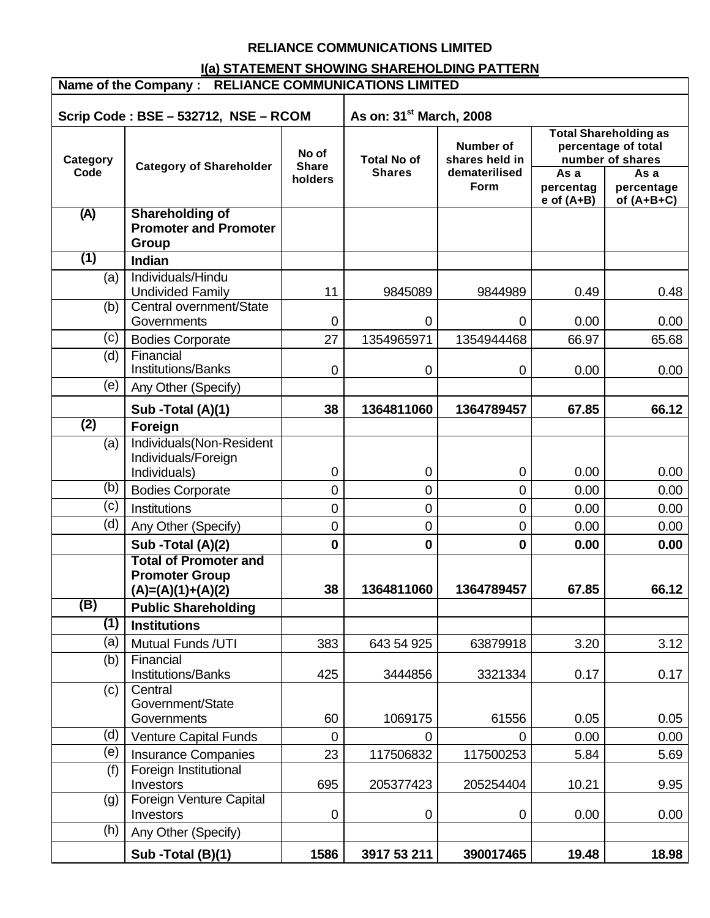## **RELIANCE COMMUNICATIONS LIMITED**

# **I(a) STATEMENT SHOWING SHAREHOLDING PATTERN**

| Name of the Company : RELIANCE COMMUNICATIONS LIMITED |                                                                              |                                  |                                                                                                    |             |                                                                                                                    |              |  |
|-------------------------------------------------------|------------------------------------------------------------------------------|----------------------------------|----------------------------------------------------------------------------------------------------|-------------|--------------------------------------------------------------------------------------------------------------------|--------------|--|
|                                                       | Scrip Code: BSE - 532712, NSE - RCOM                                         |                                  | As on: 31 <sup>st</sup> March, 2008                                                                |             |                                                                                                                    |              |  |
| Category<br>Code                                      | <b>Category of Shareholder</b>                                               | No of<br><b>Share</b><br>holders | <b>Number of</b><br><b>Total No of</b><br>shares held in<br><b>Shares</b><br>dematerilised<br>Form |             | <b>Total Shareholding as</b><br>percentage of total<br>number of shares<br>As a<br>As a<br>percentag<br>percentage |              |  |
| (A)                                                   | <b>Shareholding of</b>                                                       |                                  |                                                                                                    |             | $e$ of $(A+B)$                                                                                                     | of $(A+B+C)$ |  |
|                                                       | <b>Promoter and Promoter</b><br><b>Group</b>                                 |                                  |                                                                                                    |             |                                                                                                                    |              |  |
| $\overline{(1)}$                                      | <b>Indian</b>                                                                |                                  |                                                                                                    |             |                                                                                                                    |              |  |
| (a)                                                   | Individuals/Hindu<br><b>Undivided Family</b>                                 | 11                               | 9845089                                                                                            | 9844989     | 0.49                                                                                                               | 0.48         |  |
| (b)                                                   | Central overnment/State<br>Governments                                       | 0                                | 0                                                                                                  | $\mathbf 0$ | 0.00                                                                                                               | 0.00         |  |
| (c)                                                   | <b>Bodies Corporate</b>                                                      | 27                               | 1354965971                                                                                         | 1354944468  | 66.97                                                                                                              | 65.68        |  |
| (d)                                                   | Financial<br><b>Institutions/Banks</b>                                       | 0                                | 0                                                                                                  | 0           | 0.00                                                                                                               | 0.00         |  |
| (e)                                                   | Any Other (Specify)                                                          |                                  |                                                                                                    |             |                                                                                                                    |              |  |
|                                                       | Sub - Total (A)(1)                                                           | 38                               | 1364811060                                                                                         | 1364789457  | 67.85                                                                                                              | 66.12        |  |
| $\overline{(2)}$                                      | Foreign                                                                      |                                  |                                                                                                    |             |                                                                                                                    |              |  |
| (a)                                                   | Individuals(Non-Resident<br>Individuals/Foreign<br>Individuals)              | 0                                | 0                                                                                                  | 0           | 0.00                                                                                                               | 0.00         |  |
| (b)                                                   | <b>Bodies Corporate</b>                                                      | 0                                | 0                                                                                                  | 0           | 0.00                                                                                                               | 0.00         |  |
| (c)                                                   | Institutions                                                                 | 0                                | 0                                                                                                  | 0           | 0.00                                                                                                               | 0.00         |  |
| (d)                                                   | Any Other (Specify)                                                          | $\mathsf 0$                      | 0                                                                                                  | 0           | 0.00                                                                                                               | 0.00         |  |
|                                                       | Sub - Total (A)(2)                                                           | $\mathbf 0$                      | $\mathbf 0$                                                                                        | 0           | 0.00                                                                                                               | 0.00         |  |
|                                                       | <b>Total of Promoter and</b><br><b>Promoter Group</b><br>$(A)=(A)(1)+(A)(2)$ | 38                               | 1364811060                                                                                         | 1364789457  | 67.85                                                                                                              | 66.12        |  |
| (B)                                                   | <b>Public Shareholding</b>                                                   |                                  |                                                                                                    |             |                                                                                                                    |              |  |
| (1)                                                   | <b>Institutions</b>                                                          |                                  |                                                                                                    |             |                                                                                                                    |              |  |
| (a)                                                   | Mutual Funds / UTI                                                           | 383                              | 643 54 925                                                                                         | 63879918    | 3.20                                                                                                               | 3.12         |  |
| (b)                                                   | Financial<br>Institutions/Banks                                              | 425                              | 3444856                                                                                            | 3321334     | 0.17                                                                                                               | 0.17         |  |
| (c)                                                   | Central<br>Government/State<br>Governments                                   | 60                               | 1069175                                                                                            | 61556       | 0.05                                                                                                               | 0.05         |  |
| (d)                                                   | <b>Venture Capital Funds</b>                                                 | 0                                | 0                                                                                                  | 0           | 0.00                                                                                                               | 0.00         |  |
| (e)                                                   | <b>Insurance Companies</b>                                                   | 23                               | 117506832                                                                                          | 117500253   | 5.84                                                                                                               | 5.69         |  |
| (f)                                                   | Foreign Institutional<br>Investors                                           | 695                              | 205377423                                                                                          | 205254404   | 10.21                                                                                                              | 9.95         |  |
| (g)                                                   | Foreign Venture Capital<br>Investors                                         | 0                                | 0                                                                                                  | 0           | 0.00                                                                                                               | 0.00         |  |
| (h)                                                   | Any Other (Specify)                                                          |                                  |                                                                                                    |             |                                                                                                                    |              |  |
|                                                       | Sub -Total (B)(1)                                                            | 1586                             | 3917 53 211                                                                                        | 390017465   | 19.48                                                                                                              | 18.98        |  |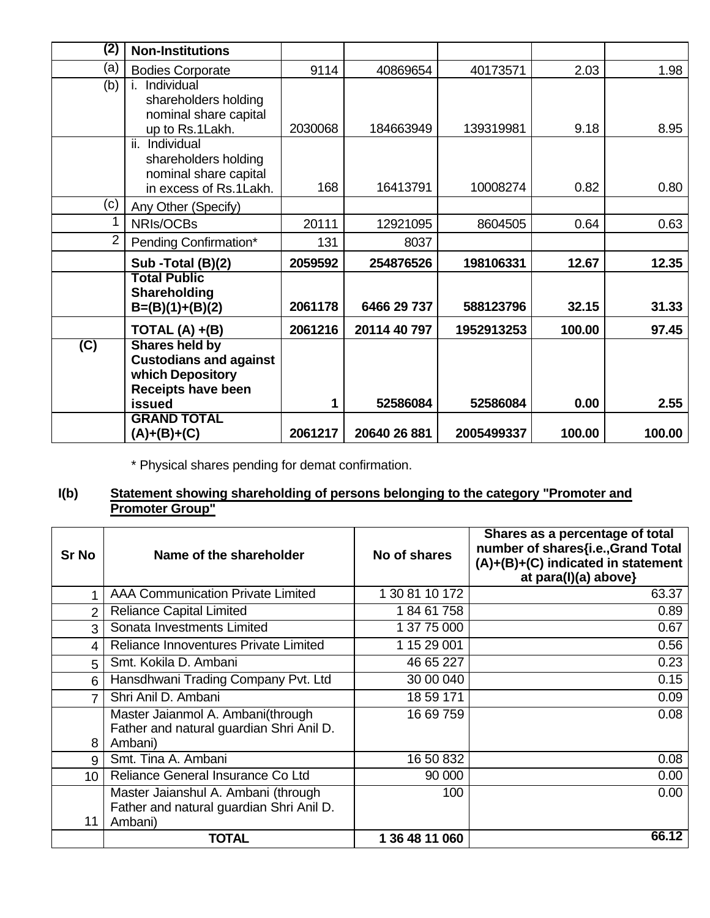| (2)            | <b>Non-Institutions</b>             |         |              |            |        |        |
|----------------|-------------------------------------|---------|--------------|------------|--------|--------|
| (a)            | <b>Bodies Corporate</b>             | 9114    | 40869654     | 40173571   | 2.03   | 1.98   |
| (b)            | Individual                          |         |              |            |        |        |
|                | shareholders holding                |         |              |            |        |        |
|                | nominal share capital               | 2030068 |              |            |        | 8.95   |
|                | up to Rs.1Lakh.<br>ii. Individual   |         | 184663949    | 139319981  | 9.18   |        |
|                | shareholders holding                |         |              |            |        |        |
|                | nominal share capital               |         |              |            |        |        |
|                | in excess of Rs.1Lakh.              | 168     | 16413791     | 10008274   | 0.82   | 0.80   |
| (c)            | Any Other (Specify)                 |         |              |            |        |        |
| 1              | NRIs/OCBs                           | 20111   | 12921095     | 8604505    | 0.64   | 0.63   |
| $\overline{2}$ | Pending Confirmation*               | 131     | 8037         |            |        |        |
|                | Sub - Total (B)(2)                  | 2059592 | 254876526    | 198106331  | 12.67  | 12.35  |
|                | <b>Total Public</b>                 |         |              |            |        |        |
|                | Shareholding                        |         |              |            |        |        |
|                | $B=(B)(1)+(B)(2)$                   | 2061178 | 6466 29 737  | 588123796  | 32.15  | 31.33  |
|                | TOTAL $(A) + (B)$                   | 2061216 | 20114 40 797 | 1952913253 | 100.00 | 97.45  |
| (C)            | <b>Shares held by</b>               |         |              |            |        |        |
|                | <b>Custodians and against</b>       |         |              |            |        |        |
|                | which Depository                    |         |              |            |        |        |
|                | <b>Receipts have been</b><br>issued | 1       | 52586084     | 52586084   | 0.00   | 2.55   |
|                | <b>GRAND TOTAL</b>                  |         |              |            |        |        |
|                | $(A)+(B)+(C)$                       | 2061217 | 20640 26 881 | 2005499337 | 100.00 | 100.00 |

\* Physical shares pending for demat confirmation.

#### **I(b) Statement showing shareholding of persons belonging to the category "Promoter and Promoter Group"**

| <b>Sr No</b>    | Name of the shareholder                                                                    | No of shares   | Shares as a percentage of total<br>number of shares{i.e., Grand Total<br>(A)+(B)+(C) indicated in statement<br>at para(I)(a) above} |
|-----------------|--------------------------------------------------------------------------------------------|----------------|-------------------------------------------------------------------------------------------------------------------------------------|
|                 | <b>AAA Communication Private Limited</b>                                                   | 1 30 81 10 172 | 63.37                                                                                                                               |
| $\overline{2}$  | <b>Reliance Capital Limited</b>                                                            | 18461758       | 0.89                                                                                                                                |
| 3               | Sonata Investments Limited                                                                 | 1 37 75 000    | 0.67                                                                                                                                |
| 4               | Reliance Innoventures Private Limited                                                      | 1 15 29 001    | 0.56                                                                                                                                |
| 5               | Smt. Kokila D. Ambani                                                                      | 46 65 227      | 0.23                                                                                                                                |
| 6               | Hansdhwani Trading Company Pvt. Ltd                                                        | 30 00 040      | 0.15                                                                                                                                |
| 7               | Shri Anil D. Ambani                                                                        | 18 59 171      | 0.09                                                                                                                                |
| 8               | Master Jaianmol A. Ambani(through<br>Father and natural guardian Shri Anil D.<br>Ambani)   | 16 69 759      | 0.08                                                                                                                                |
| 9               | Smt. Tina A. Ambani                                                                        | 16 50 832      | 0.08                                                                                                                                |
| 10 <sup>°</sup> | Reliance General Insurance Co Ltd                                                          | 90 000         | 0.00                                                                                                                                |
| 11              | Master Jaianshul A. Ambani (through<br>Father and natural guardian Shri Anil D.<br>Ambani) | 100            | 0.00                                                                                                                                |
|                 | <b>TOTAL</b>                                                                               | 1 36 48 11 060 | 66.12                                                                                                                               |